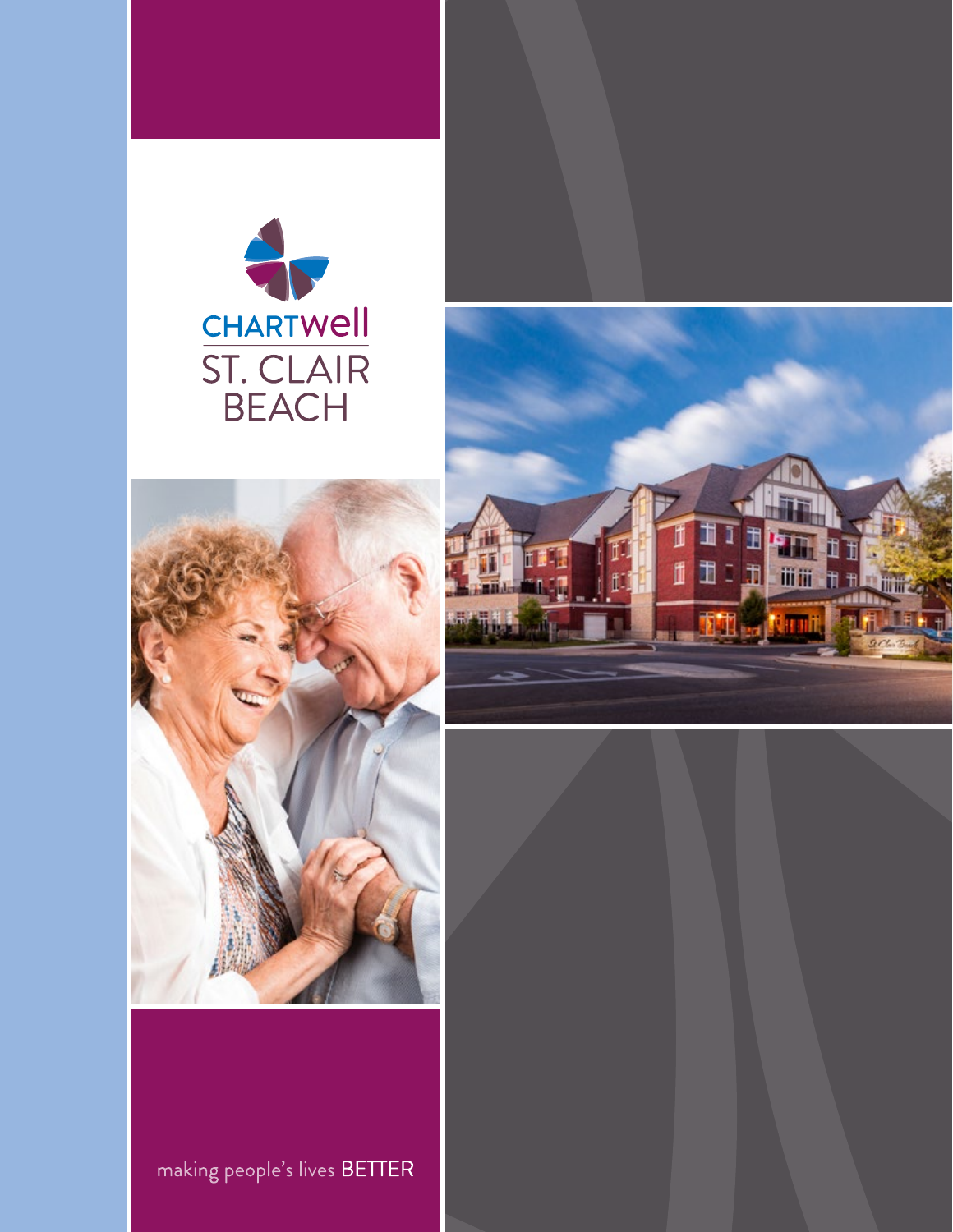





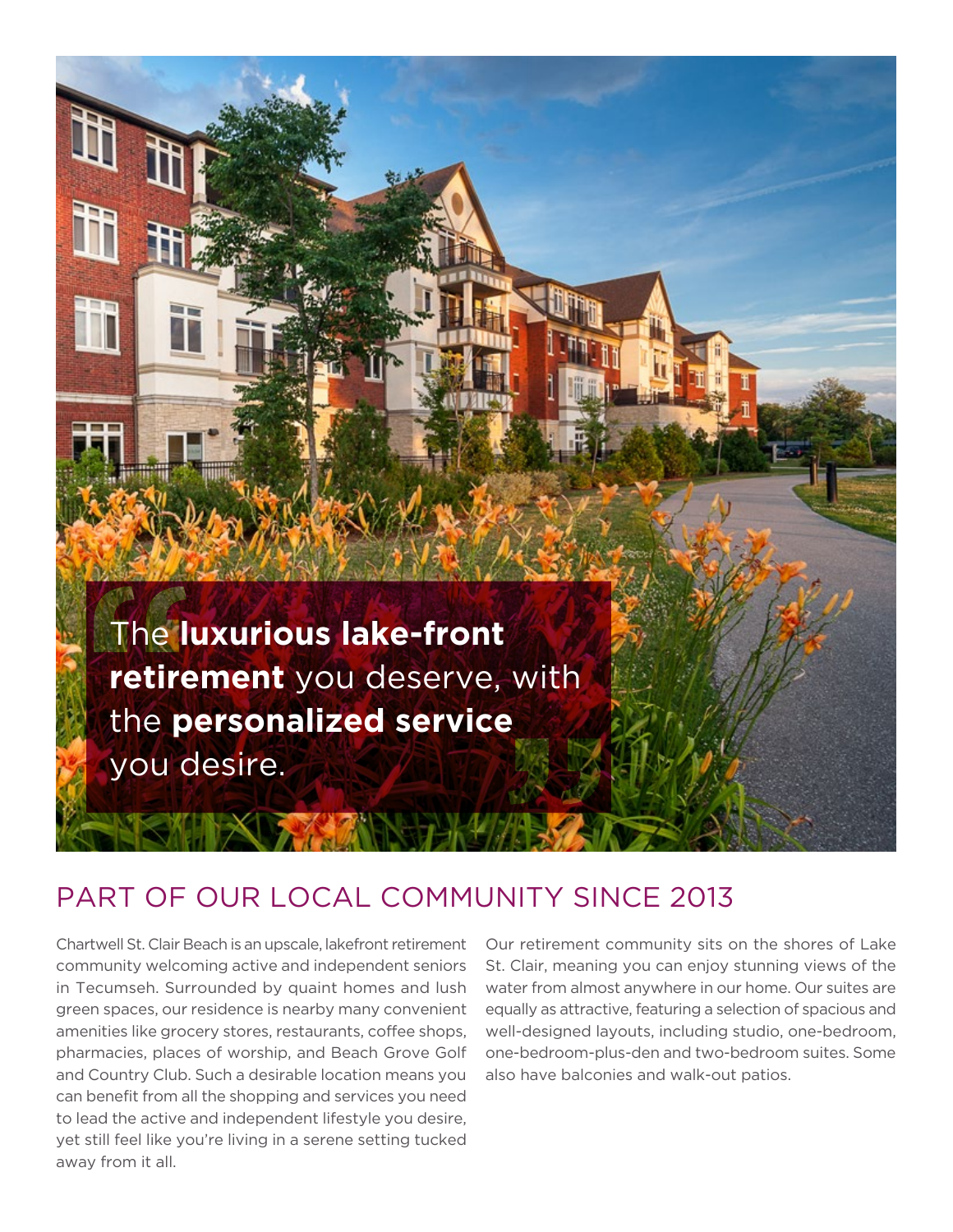

## PART OF OUR LOCAL COMMUNITY SINCE 2013

Chartwell St. Clair Beach is an upscale, lakefront retirement community welcoming active and independent seniors in Tecumseh. Surrounded by quaint homes and lush green spaces, our residence is nearby many convenient amenities like grocery stores, restaurants, coffee shops, pharmacies, places of worship, and Beach Grove Golf and Country Club. Such a desirable location means you can benefit from all the shopping and services you need to lead the active and independent lifestyle you desire, yet still feel like you're living in a serene setting tucked away from it all.

Our retirement community sits on the shores of Lake St. Clair, meaning you can enjoy stunning views of the water from almost anywhere in our home. Our suites are equally as attractive, featuring a selection of spacious and well-designed layouts, including studio, one-bedroom, one-bedroom-plus-den and two-bedroom suites. Some also have balconies and walk-out patios.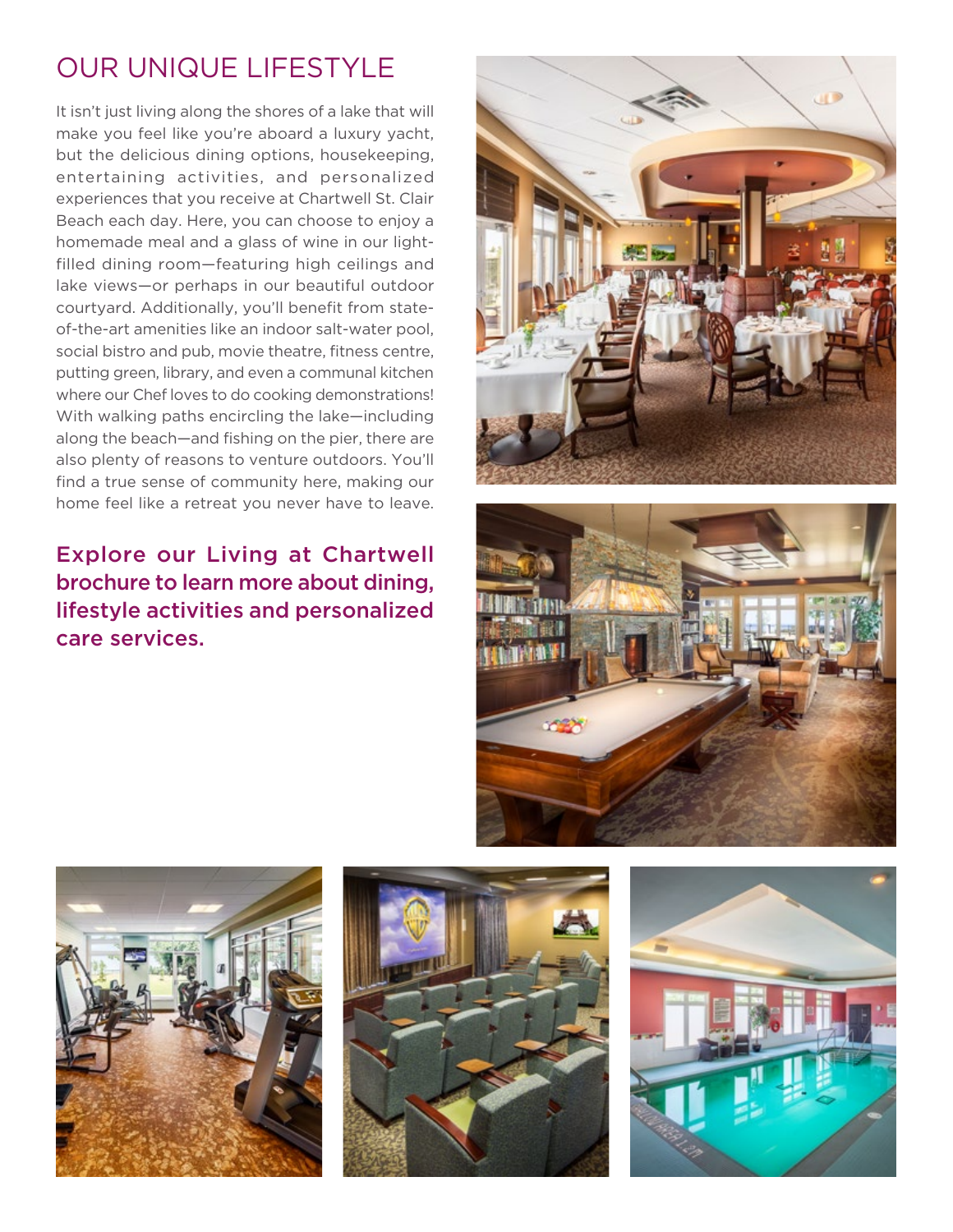## OUR UNIQUE LIFESTYLE

It isn't just living along the shores of a lake that will make you feel like you're aboard a luxury yacht, but the delicious dining options, housekeeping, entertaining activities, and personalized experiences that you receive at Chartwell St. Clair Beach each day. Here, you can choose to enjoy a homemade meal and a glass of wine in our lightfilled dining room—featuring high ceilings and lake views—or perhaps in our beautiful outdoor courtyard. Additionally, you'll benefit from stateof-the-art amenities like an indoor salt-water pool, social bistro and pub, movie theatre, fitness centre, putting green, library, and even a communal kitchen where our Chef loves to do cooking demonstrations! With walking paths encircling the lake—including along the beach—and fishing on the pier, there are also plenty of reasons to venture outdoors. You'll find a true sense of community here, making our home feel like a retreat you never have to leave.

Explore our Living at Chartwell brochure to learn more about dining, lifestyle activities and personalized care services.









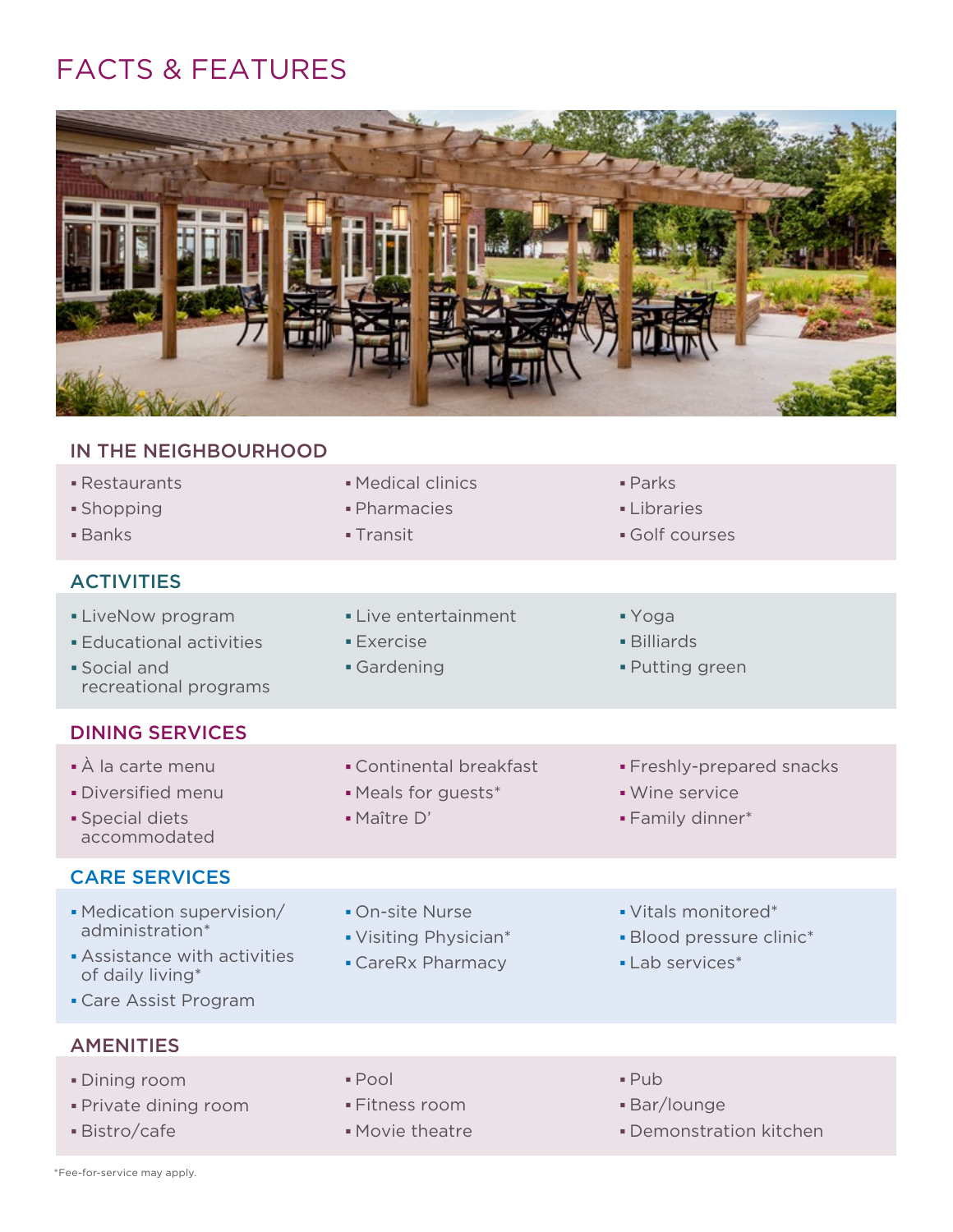## FACTS & FEATURES



## IN THE NEIGHBOURHOOD

| • Restaurants<br>• Shopping<br><b>Banks</b>                                                                             | • Medical clinics<br>· Pharmacies<br>- Transit                | $\blacksquare$ Parks<br><b>-Libraries</b><br>Golf courses           |
|-------------------------------------------------------------------------------------------------------------------------|---------------------------------------------------------------|---------------------------------------------------------------------|
| <b>ACTIVITIES</b>                                                                                                       |                                                               |                                                                     |
| • LiveNow program<br><b>Educational activities</b><br>· Social and<br>recreational programs                             | • Live entertainment<br><b>Exercise</b><br>Gardening          | $\blacktriangleright$ Yoga<br><b>-</b> Billiards<br>- Putting green |
| <b>DINING SERVICES</b>                                                                                                  |                                                               |                                                                     |
| • À la carte menu<br>· Diversified menu<br>· Special diets<br>accommodated                                              | • Continental breakfast<br>• Meals for guests*<br>· Maître D' | • Freshly-prepared snacks<br>• Wine service<br>• Family dinner*     |
| <b>CARE SERVICES</b>                                                                                                    |                                                               |                                                                     |
| • Medication supervision/<br>administration*<br>Assistance with activities<br>of daily living*<br>• Care Assist Program | • On-site Nurse<br>• Visiting Physician*<br>• CareRx Pharmacy | • Vitals monitored*<br>• Blood pressure clinic*<br>• Lab services*  |
| <b>AMENITIES</b>                                                                                                        |                                                               |                                                                     |
| · Dining room<br>· Private dining room<br>Bistro/cafe                                                                   | · Pool<br>▪Fitness room<br>Movie theatre                      | $-$ Pub<br><b>Bar/lounge</b><br>• Demonstration kitchen             |